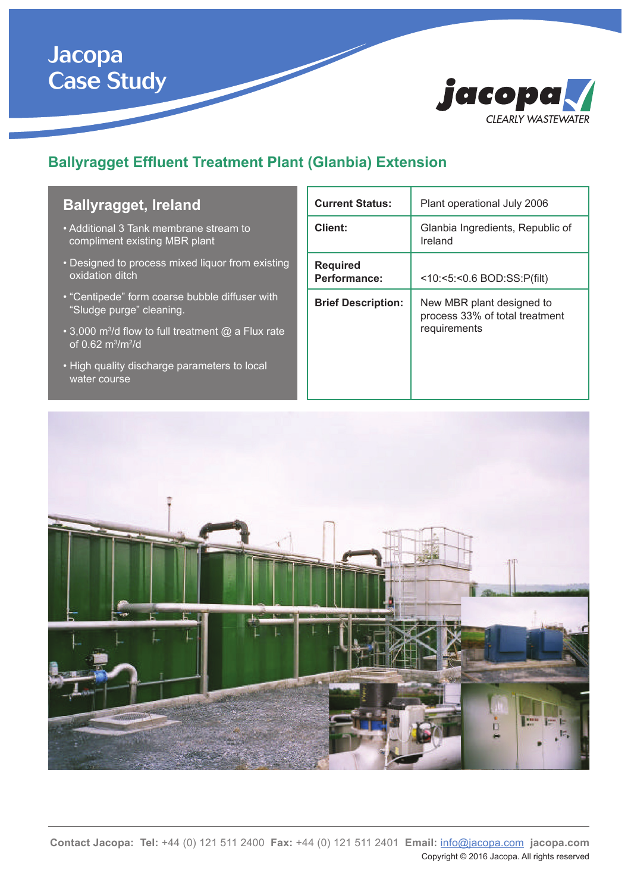# Jacopa Case Study



## **Ballyragget Effluent Treatment Plant (Glanbia) Extension**

#### **Ballyragget, Ireland**

- Additional 3 Tank membrane stream to compliment existing MBR plant
- Designed to process mixed liquor from existing oxidation ditch
- "Centipede" form coarse bubble diffuser with "Sludge purge" cleaning.
- 3,000 m<sup>3</sup>/d flow to full treatment @ a Flux rate of 0.62 m<sup>3</sup>/m<sup>2</sup>/d
- High quality discharge parameters to local water course

| <b>Current Status:</b>          | Plant operational July 2006                                                 |
|---------------------------------|-----------------------------------------------------------------------------|
| Client:                         | Glanbia Ingredients, Republic of<br>Ireland                                 |
| <b>Required</b><br>Performance: | <10:<5:<0.6 BOD:SS:P(filt)                                                  |
| <b>Brief Description:</b>       | New MBR plant designed to<br>process 33% of total treatment<br>requirements |